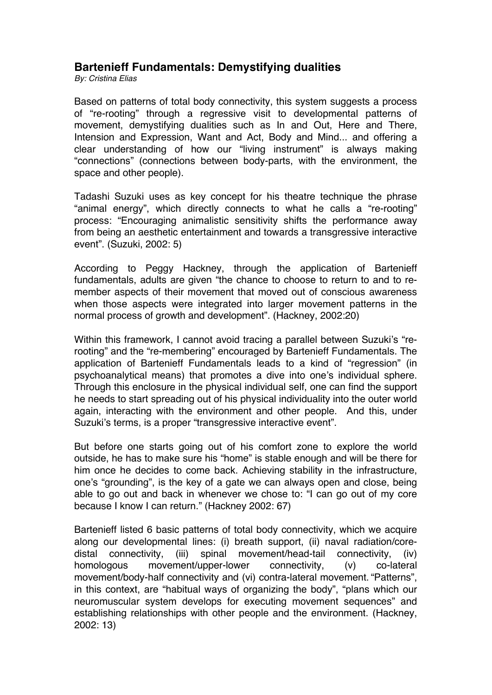## **Bartenieff Fundamentals: Demystifying dualities**

*By: Cristina Elias*

Based on patterns of total body connectivity, this system suggests a process of "re-rooting" through a regressive visit to developmental patterns of movement, demystifying dualities such as In and Out, Here and There, Intension and Expression, Want and Act, Body and Mind... and offering a clear understanding of how our "living instrument" is always making "connections" (connections between body-parts, with the environment, the space and other people).

Tadashi Suzuki uses as key concept for his theatre technique the phrase "animal energy", which directly connects to what he calls a "re-rooting" process: "Encouraging animalistic sensitivity shifts the performance away from being an aesthetic entertainment and towards a transgressive interactive event". (Suzuki, 2002: 5)

According to Peggy Hackney, through the application of Bartenieff fundamentals, adults are given "the chance to choose to return to and to remember aspects of their movement that moved out of conscious awareness when those aspects were integrated into larger movement patterns in the normal process of growth and development". (Hackney, 2002:20)

Within this framework, I cannot avoid tracing a parallel between Suzuki's "rerooting" and the "re-membering" encouraged by Bartenieff Fundamentals. The application of Bartenieff Fundamentals leads to a kind of "regression" (in psychoanalytical means) that promotes a dive into one's individual sphere. Through this enclosure in the physical individual self, one can find the support he needs to start spreading out of his physical individuality into the outer world again, interacting with the environment and other people. And this, under Suzuki's terms, is a proper "transgressive interactive event".

But before one starts going out of his comfort zone to explore the world outside, he has to make sure his "home" is stable enough and will be there for him once he decides to come back. Achieving stability in the infrastructure, one's "grounding", is the key of a gate we can always open and close, being able to go out and back in whenever we chose to: "I can go out of my core because I know I can return." (Hackney 2002: 67)

Bartenieff listed 6 basic patterns of total body connectivity, which we acquire along our developmental lines: (i) breath support, (ii) naval radiation/coredistal connectivity, (iii) spinal movement/head-tail connectivity, (iv) homologous movement/upper-lower connectivity, (v) co-lateral movement/body-half connectivity and (vi) contra-lateral movement. "Patterns", in this context, are "habitual ways of organizing the body", "plans which our neuromuscular system develops for executing movement sequences" and establishing relationships with other people and the environment. (Hackney, 2002: 13)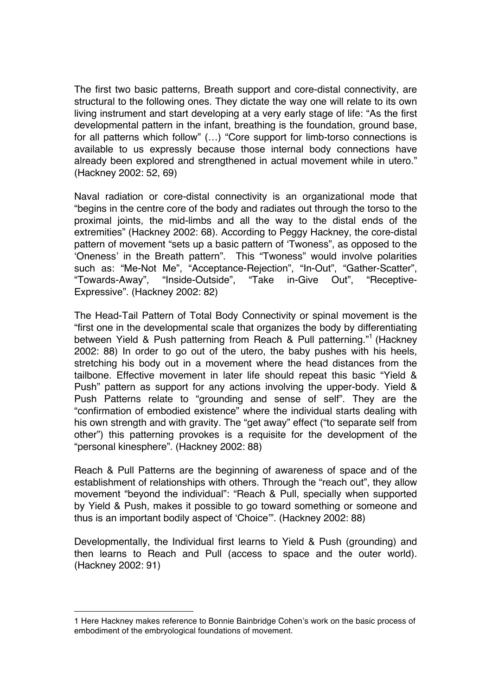The first two basic patterns, Breath support and core-distal connectivity, are structural to the following ones. They dictate the way one will relate to its own living instrument and start developing at a very early stage of life: "As the first developmental pattern in the infant, breathing is the foundation, ground base, for all patterns which follow" (…) "Core support for limb-torso connections is available to us expressly because those internal body connections have already been explored and strengthened in actual movement while in utero." (Hackney 2002: 52, 69)

Naval radiation or core-distal connectivity is an organizational mode that "begins in the centre core of the body and radiates out through the torso to the proximal joints, the mid-limbs and all the way to the distal ends of the extremities" (Hackney 2002: 68). According to Peggy Hackney, the core-distal pattern of movement "sets up a basic pattern of 'Twoness", as opposed to the 'Oneness' in the Breath pattern". This "Twoness" would involve polarities such as: "Me-Not Me", "Acceptance-Rejection", "In-Out", "Gather-Scatter", "Towards-Away", "Inside-Outside", "Take in-Give Out", "Receptive-Expressive". (Hackney 2002: 82)

The Head-Tail Pattern of Total Body Connectivity or spinal movement is the "first one in the developmental scale that organizes the body by differentiating between Yield & Push patterning from Reach & Pull patterning."<sup>1</sup> (Hackney 2002: 88) In order to go out of the utero, the baby pushes with his heels, stretching his body out in a movement where the head distances from the tailbone. Effective movement in later life should repeat this basic "Yield & Push" pattern as support for any actions involving the upper-body. Yield & Push Patterns relate to "grounding and sense of self". They are the "confirmation of embodied existence" where the individual starts dealing with his own strength and with gravity. The "get away" effect ("to separate self from other") this patterning provokes is a requisite for the development of the "personal kinesphere". (Hackney 2002: 88)

Reach & Pull Patterns are the beginning of awareness of space and of the establishment of relationships with others. Through the "reach out", they allow movement "beyond the individual": "Reach & Pull, specially when supported by Yield & Push, makes it possible to go toward something or someone and thus is an important bodily aspect of 'Choice'". (Hackney 2002: 88)

Developmentally, the Individual first learns to Yield & Push (grounding) and then learns to Reach and Pull (access to space and the outer world). (Hackney 2002: 91)

 $\overline{a}$ 

<sup>1</sup> Here Hackney makes reference to Bonnie Bainbridge Cohen's work on the basic process of embodiment of the embryological foundations of movement.